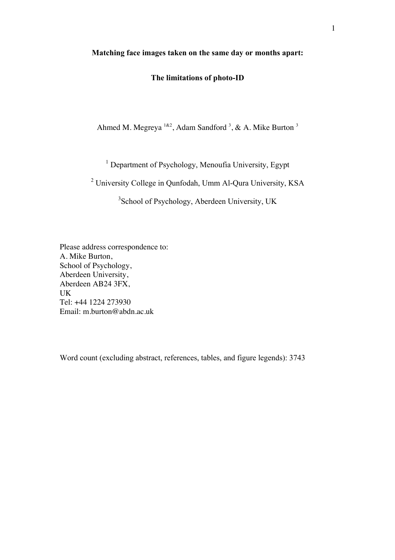### **Matching face images taken on the same day or months apart:**

# **The limitations of photo-ID**

Ahmed M. Megreya  $182$ , Adam Sandford <sup>3</sup>, & A. Mike Burton <sup>3</sup>

<sup>1</sup> Department of Psychology, Menoufia University, Egypt

<sup>2</sup> University College in Qunfodah, Umm Al-Qura University, KSA

<sup>3</sup>School of Psychology, Aberdeen University, UK

Please address correspondence to: A. Mike Burton, School of Psychology, Aberdeen University, Aberdeen AB24 3FX, UK Tel: +44 1224 273930 Email: m.burton@abdn.ac.uk

Word count (excluding abstract, references, tables, and figure legends): 3743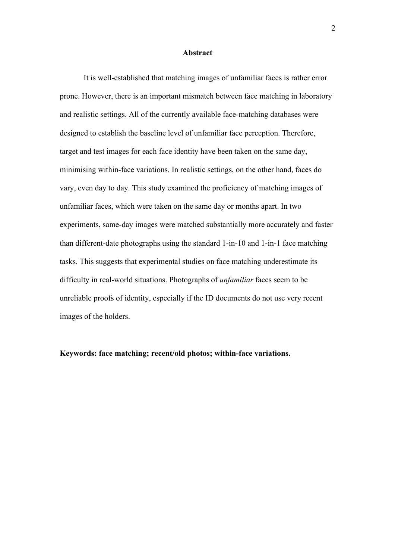#### **Abstract**

It is well-established that matching images of unfamiliar faces is rather error prone. However, there is an important mismatch between face matching in laboratory and realistic settings. All of the currently available face-matching databases were designed to establish the baseline level of unfamiliar face perception. Therefore, target and test images for each face identity have been taken on the same day, minimising within-face variations. In realistic settings, on the other hand, faces do vary, even day to day. This study examined the proficiency of matching images of unfamiliar faces, which were taken on the same day or months apart. In two experiments, same-day images were matched substantially more accurately and faster than different-date photographs using the standard 1-in-10 and 1-in-1 face matching tasks. This suggests that experimental studies on face matching underestimate its difficulty in real-world situations. Photographs of *unfamiliar* faces seem to be unreliable proofs of identity, especially if the ID documents do not use very recent images of the holders.

**Keywords: face matching; recent/old photos; within-face variations.**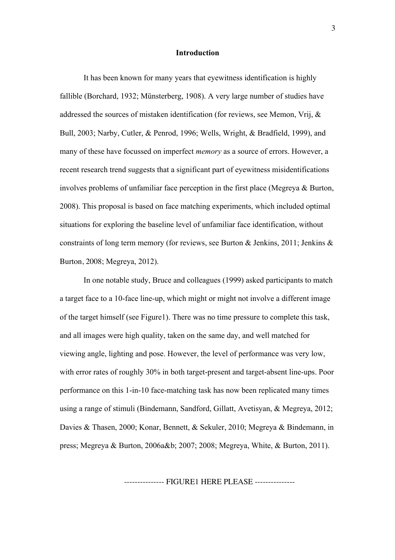#### **Introduction**

It has been known for many years that eyewitness identification is highly fallible (Borchard, 1932; Münsterberg, 1908). A very large number of studies have addressed the sources of mistaken identification (for reviews, see Memon, Vrij, & Bull, 2003; Narby, Cutler, & Penrod, 1996; Wells, Wright, & Bradfield, 1999), and many of these have focussed on imperfect *memory* as a source of errors. However, a recent research trend suggests that a significant part of eyewitness misidentifications involves problems of unfamiliar face perception in the first place (Megreya & Burton, 2008). This proposal is based on face matching experiments, which included optimal situations for exploring the baseline level of unfamiliar face identification, without constraints of long term memory (for reviews, see Burton & Jenkins, 2011; Jenkins & Burton, 2008; Megreya, 2012).

In one notable study, Bruce and colleagues (1999) asked participants to match a target face to a 10-face line-up, which might or might not involve a different image of the target himself (see Figure1). There was no time pressure to complete this task, and all images were high quality, taken on the same day, and well matched for viewing angle, lighting and pose. However, the level of performance was very low, with error rates of roughly 30% in both target-present and target-absent line-ups. Poor performance on this 1-in-10 face-matching task has now been replicated many times using a range of stimuli (Bindemann, Sandford, Gillatt, Avetisyan, & Megreya, 2012; Davies & Thasen, 2000; Konar, Bennett, & Sekuler, 2010; Megreya & Bindemann, in press; Megreya & Burton, 2006a&b; 2007; 2008; Megreya, White, & Burton, 2011).

--------------- FIGURE1 HERE PLEASE ---------------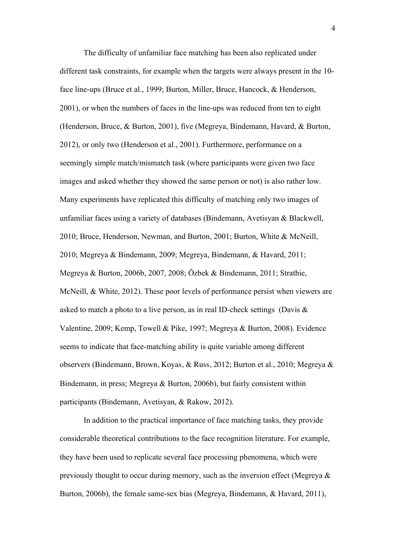The difficulty of unfamiliar face matching has been also replicated under different task constraints, for example when the targets were always present in the 10 face line-ups (Bruce et al., 1999; Burton, Miller, Bruce, Hancock, & Henderson, 2001), or when the numbers of faces in the line-ups was reduced from ten to eight (Henderson, Bruce, & Burton, 2001), five (Megreya, Bindemann, Havard, & Burton, 2012), or only two (Henderson et al., 2001). Furthermore, performance on a seemingly simple match/mismatch task (where participants were given two face images and asked whether they showed the same person or not) is also rather low. Many experiments have replicated this difficulty of matching only two images of unfamiliar faces using a variety of databases (Bindemann, Avetisyan & Blackwell, 2010; Bruce, Henderson, Newman, and Burton, 2001; Burton, White & McNeill, 2010; Megreya & Bindemann, 2009; Megreya, Bindemann, & Havard, 2011; Megreya & Burton, 2006b, 2007, 2008; Özbek & Bindemann, 2011; Strathie, McNeill, & White, 2012). These poor levels of performance persist when viewers are asked to match a photo to a live person, as in real ID-check settings (Davis & Valentine, 2009; Kemp, Towell & Pike, 1997; Megreya & Burton, 2008). Evidence seems to indicate that face-matching ability is quite variable among different observers (Bindemann, Brown, Koyas, & Russ, 2012; Burton et al., 2010; Megreya & Bindemann, in press; Megreya & Burton, 2006b), but fairly consistent within participants (Bindemann, Avetisyan, & Rakow, 2012).

In addition to the practical importance of face matching tasks, they provide considerable theoretical contributions to the face recognition literature. For example, they have been used to replicate several face processing phenomena, which were previously thought to occur during memory, such as the inversion effect (Megreya & Burton, 2006b), the female same-sex bias (Megreya, Bindemann, & Havard, 2011),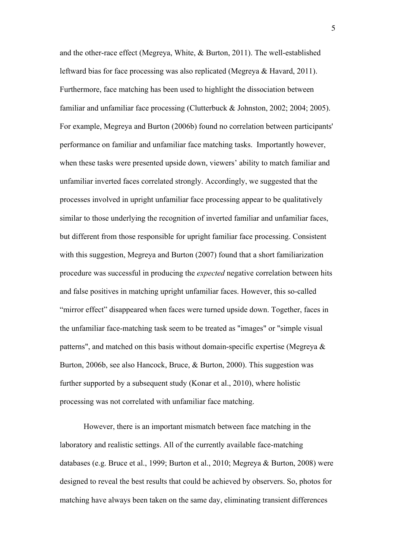and the other-race effect (Megreya, White, & Burton, 2011). The well-established leftward bias for face processing was also replicated (Megreya & Havard, 2011). Furthermore, face matching has been used to highlight the dissociation between familiar and unfamiliar face processing (Clutterbuck & Johnston, 2002; 2004; 2005). For example, Megreya and Burton (2006b) found no correlation between participants' performance on familiar and unfamiliar face matching tasks. Importantly however, when these tasks were presented upside down, viewers' ability to match familiar and unfamiliar inverted faces correlated strongly. Accordingly, we suggested that the processes involved in upright unfamiliar face processing appear to be qualitatively similar to those underlying the recognition of inverted familiar and unfamiliar faces, but different from those responsible for upright familiar face processing. Consistent with this suggestion, Megreya and Burton (2007) found that a short familiarization procedure was successful in producing the *expected* negative correlation between hits and false positives in matching upright unfamiliar faces. However, this so-called "mirror effect" disappeared when faces were turned upside down. Together, faces in the unfamiliar face-matching task seem to be treated as "images" or "simple visual patterns", and matched on this basis without domain-specific expertise (Megreya & Burton, 2006b, see also Hancock, Bruce, & Burton, 2000). This suggestion was further supported by a subsequent study (Konar et al., 2010), where holistic processing was not correlated with unfamiliar face matching.

However, there is an important mismatch between face matching in the laboratory and realistic settings. All of the currently available face-matching databases (e.g. Bruce et al., 1999; Burton et al., 2010; Megreya & Burton, 2008) were designed to reveal the best results that could be achieved by observers. So, photos for matching have always been taken on the same day, eliminating transient differences

5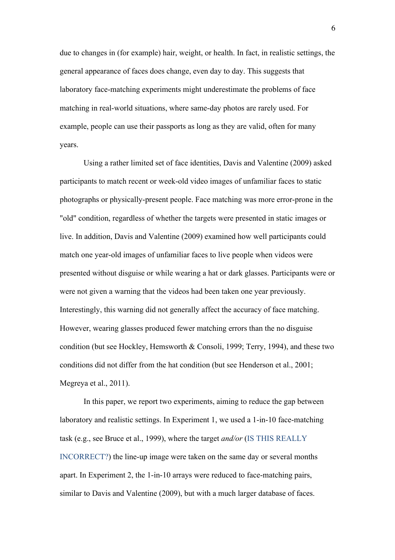due to changes in (for example) hair, weight, or health. In fact, in realistic settings, the general appearance of faces does change, even day to day. This suggests that laboratory face-matching experiments might underestimate the problems of face matching in real-world situations, where same-day photos are rarely used. For example, people can use their passports as long as they are valid, often for many years.

Using a rather limited set of face identities, Davis and Valentine (2009) asked participants to match recent or week-old video images of unfamiliar faces to static photographs or physically-present people. Face matching was more error-prone in the "old" condition, regardless of whether the targets were presented in static images or live. In addition, Davis and Valentine (2009) examined how well participants could match one year-old images of unfamiliar faces to live people when videos were presented without disguise or while wearing a hat or dark glasses. Participants were or were not given a warning that the videos had been taken one year previously. Interestingly, this warning did not generally affect the accuracy of face matching. However, wearing glasses produced fewer matching errors than the no disguise condition (but see Hockley, Hemsworth & Consoli, 1999; Terry, 1994), and these two conditions did not differ from the hat condition (but see Henderson et al., 2001; Megreya et al., 2011).

In this paper, we report two experiments, aiming to reduce the gap between laboratory and realistic settings. In Experiment 1, we used a 1-in-10 face-matching task (e.g., see Bruce et al., 1999), where the target *and/or* (IS THIS REALLY INCORRECT?) the line-up image were taken on the same day or several months apart. In Experiment 2, the 1-in-10 arrays were reduced to face-matching pairs, similar to Davis and Valentine (2009), but with a much larger database of faces.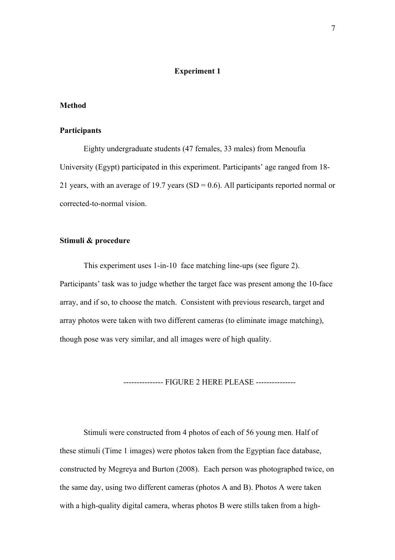### **Experiment 1**

### **Method**

### **Participants**

Eighty undergraduate students (47 females, 33 males) from Menoufia University (Egypt) participated in this experiment. Participants' age ranged from 18- 21 years, with an average of 19.7 years (SD =  $0.6$ ). All participants reported normal or corrected-to-normal vision.

### **Stimuli & procedure**

This experiment uses 1-in-10 face matching line-ups (see figure 2). Participants' task was to judge whether the target face was present among the 10-face array, and if so, to choose the match. Consistent with previous research, target and array photos were taken with two different cameras (to eliminate image matching), though pose was very similar, and all images were of high quality.

--------------- FIGURE 2 HERE PLEASE ---------------

Stimuli were constructed from 4 photos of each of 56 young men. Half of these stimuli (Time 1 images) were photos taken from the Egyptian face database, constructed by Megreya and Burton (2008). Each person was photographed twice, on the same day, using two different cameras (photos A and B). Photos A were taken with a high-quality digital camera, wheras photos B were stills taken from a high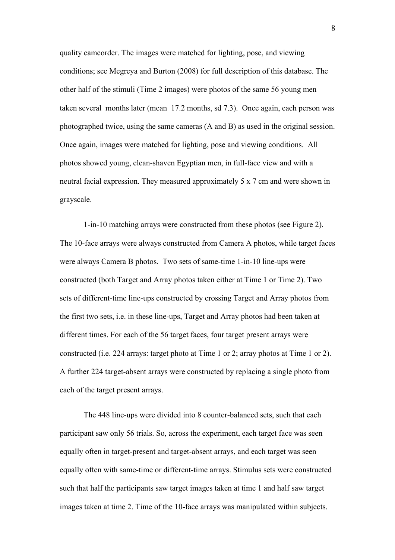quality camcorder. The images were matched for lighting, pose, and viewing conditions; see Megreya and Burton (2008) for full description of this database. The other half of the stimuli (Time 2 images) were photos of the same 56 young men taken several months later (mean 17.2 months, sd 7.3). Once again, each person was photographed twice, using the same cameras (A and B) as used in the original session. Once again, images were matched for lighting, pose and viewing conditions. All photos showed young, clean-shaven Egyptian men, in full-face view and with a neutral facial expression. They measured approximately 5 x 7 cm and were shown in grayscale.

1-in-10 matching arrays were constructed from these photos (see Figure 2). The 10-face arrays were always constructed from Camera A photos, while target faces were always Camera B photos. Two sets of same-time 1-in-10 line-ups were constructed (both Target and Array photos taken either at Time 1 or Time 2). Two sets of different-time line-ups constructed by crossing Target and Array photos from the first two sets, i.e. in these line-ups, Target and Array photos had been taken at different times. For each of the 56 target faces, four target present arrays were constructed (i.e. 224 arrays: target photo at Time 1 or 2; array photos at Time 1 or 2). A further 224 target-absent arrays were constructed by replacing a single photo from each of the target present arrays.

The 448 line-ups were divided into 8 counter-balanced sets, such that each participant saw only 56 trials. So, across the experiment, each target face was seen equally often in target-present and target-absent arrays, and each target was seen equally often with same-time or different-time arrays. Stimulus sets were constructed such that half the participants saw target images taken at time 1 and half saw target images taken at time 2. Time of the 10-face arrays was manipulated within subjects.

8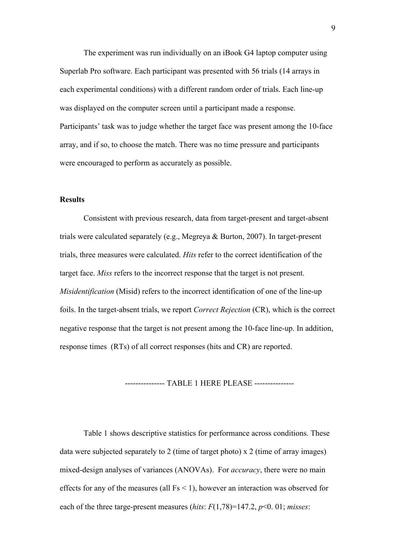The experiment was run individually on an iBook G4 laptop computer using Superlab Pro software. Each participant was presented with 56 trials (14 arrays in each experimental conditions) with a different random order of trials. Each line-up was displayed on the computer screen until a participant made a response. Participants' task was to judge whether the target face was present among the 10-face array, and if so, to choose the match. There was no time pressure and participants were encouraged to perform as accurately as possible.

# **Results**

Consistent with previous research, data from target-present and target-absent trials were calculated separately (e.g., Megreya & Burton, 2007). In target-present trials, three measures were calculated. *Hits* refer to the correct identification of the target face. *Miss* refers to the incorrect response that the target is not present. *Misidentification* (Misid) refers to the incorrect identification of one of the line-up foils. In the target-absent trials, we report *Correct Rejection* (CR), which is the correct negative response that the target is not present among the 10-face line-up. In addition, response times (RTs) of all correct responses (hits and CR) are reported.

--------------- TABLE 1 HERE PLEASE ---------------

Table 1 shows descriptive statistics for performance across conditions. These data were subjected separately to 2 (time of target photo) x 2 (time of array images) mixed-design analyses of variances (ANOVAs). For *accuracy*, there were no main effects for any of the measures (all  $Fs < 1$ ), however an interaction was observed for each of the three targe-present measures (*hits*: *F*(1,78)=147.2, *p*<0. 01; *misses*: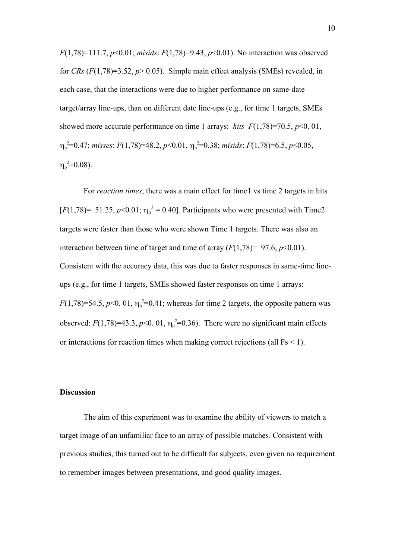*F*(1,78)=111.7, *p*<0.01; *misids*: *F*(1,78)=9.43, *p*<0.01). No interaction was observed for *CRs*  $(F(1,78)=3.52, p>0.05)$ . Simple main effect analysis (SMEs) revealed, in each case, that the interactions were due to higher performance on same-date target/array line-ups, than on different date line-ups (e.g., for time 1 targets, SMEs showed more accurate performance on time 1 arrays: *hits F*(1,78)=70.5, *p*<0. 01, ηp 2 =0.47; *misses*: *F*(1,78)=48.2, *p*<0.01, η<sup>p</sup> 2 =0.38; *misids*: *F*(1,78)=6.5, *p*<0.05,  $\eta_{\rm p}^{\ \,2}$ =0.08).

For *reaction times*, there was a main effect for time1 vs time 2 targets in hits [ $F(1,78)$ = 51.25,  $p$ <0.01;  $\eta_p^2$  = 0.40]. Participants who were presented with Time2 targets were faster than those who were shown Time 1 targets. There was also an interaction between time of target and time of array  $(F(1,78) = 97.6, p<0.01)$ . Consistent with the accuracy data, this was due to faster responses in same-time lineups (e.g., for time 1 targets, SMEs showed faster responses on time 1 arrays:  $F(1,78)=54.5, p<0.01, \eta_p^2=0.41$ ; whereas for time 2 targets, the opposite pattern was observed:  $F(1,78)=43.3, p<0.01, \eta_p^2=0.36$ ). There were no significant main effects or interactions for reaction times when making correct rejections (all Fs < 1).

### **Discussion**

The aim of this experiment was to examine the ability of viewers to match a target image of an unfamiliar face to an array of possible matches. Consistent with previous studies, this turned out to be difficult for subjects, even given no requirement to remember images between presentations, and good quality images.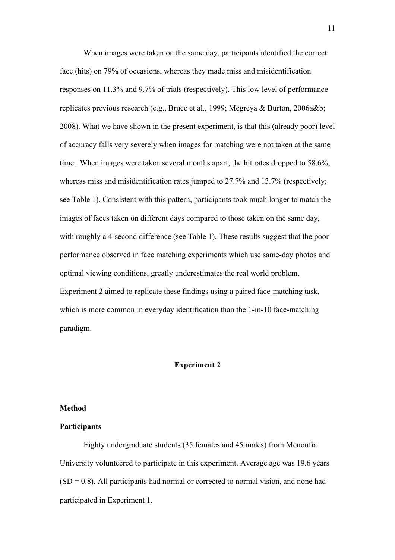When images were taken on the same day, participants identified the correct face (hits) on 79% of occasions, whereas they made miss and misidentification responses on 11.3% and 9.7% of trials (respectively). This low level of performance replicates previous research (e.g., Bruce et al., 1999; Megreya & Burton, 2006a&b; 2008). What we have shown in the present experiment, is that this (already poor) level of accuracy falls very severely when images for matching were not taken at the same time. When images were taken several months apart, the hit rates dropped to 58.6%, whereas miss and misidentification rates jumped to 27.7% and 13.7% (respectively; see Table 1). Consistent with this pattern, participants took much longer to match the images of faces taken on different days compared to those taken on the same day, with roughly a 4-second difference (see Table 1). These results suggest that the poor performance observed in face matching experiments which use same-day photos and optimal viewing conditions, greatly underestimates the real world problem. Experiment 2 aimed to replicate these findings using a paired face-matching task, which is more common in everyday identification than the 1-in-10 face-matching paradigm.

#### **Experiment 2**

#### **Method**

### **Participants**

Eighty undergraduate students (35 females and 45 males) from Menoufia University volunteered to participate in this experiment. Average age was 19.6 years  $(SD = 0.8)$ . All participants had normal or corrected to normal vision, and none had participated in Experiment 1.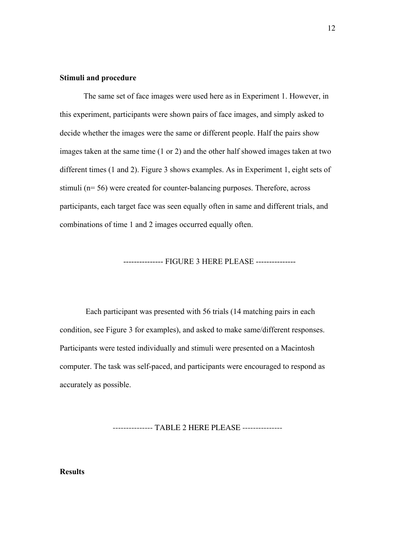### **Stimuli and procedure**

The same set of face images were used here as in Experiment 1. However, in this experiment, participants were shown pairs of face images, and simply asked to decide whether the images were the same or different people. Half the pairs show images taken at the same time (1 or 2) and the other half showed images taken at two different times (1 and 2). Figure 3 shows examples. As in Experiment 1, eight sets of stimuli (n= 56) were created for counter-balancing purposes. Therefore, across participants, each target face was seen equally often in same and different trials, and combinations of time 1 and 2 images occurred equally often.

--------------- FIGURE 3 HERE PLEASE ---------------

Each participant was presented with 56 trials (14 matching pairs in each condition, see Figure 3 for examples), and asked to make same/different responses. Participants were tested individually and stimuli were presented on a Macintosh computer. The task was self-paced, and participants were encouraged to respond as accurately as possible.

--------------- TABLE 2 HERE PLEASE ---------------

**Results**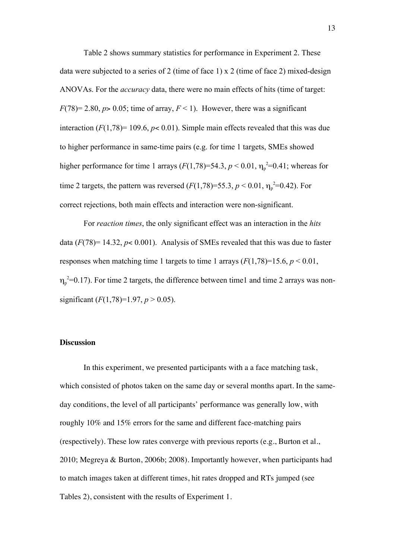Table 2 shows summary statistics for performance in Experiment 2. These data were subjected to a series of 2 (time of face 1) x 2 (time of face 2) mixed-design ANOVAs. For the *accuracy* data, there were no main effects of hits (time of target:  $F(78) = 2.80$ ,  $p > 0.05$ ; time of array,  $F < 1$ ). However, there was a significant interaction  $(F(1,78) = 109.6, p < 0.01)$ . Simple main effects revealed that this was due to higher performance in same-time pairs (e.g. for time 1 targets, SMEs showed higher performance for time 1 arrays  $(F(1,78)=54.3, p < 0.01, \eta_p^2=0.41$ ; whereas for time 2 targets, the pattern was reversed  $(F(1,78)=55.3, p < 0.01, \eta_p^2=0.42)$ . For correct rejections, both main effects and interaction were non-significant.

For *reaction times*, the only significant effect was an interaction in the *hits* data  $(F(78) = 14.32, p < 0.001)$ . Analysis of SMEs revealed that this was due to faster responses when matching time 1 targets to time 1 arrays  $(F(1,78)=15.6, p < 0.01,$  $\eta_p^2$ =0.17). For time 2 targets, the difference between time1 and time 2 arrays was nonsignificant  $(F(1,78)=1.97, p > 0.05)$ .

### **Discussion**

In this experiment, we presented participants with a a face matching task, which consisted of photos taken on the same day or several months apart. In the sameday conditions, the level of all participants' performance was generally low, with roughly 10% and 15% errors for the same and different face-matching pairs (respectively). These low rates converge with previous reports (e.g., Burton et al., 2010; Megreya & Burton, 2006b; 2008). Importantly however, when participants had to match images taken at different times, hit rates dropped and RTs jumped (see Tables 2), consistent with the results of Experiment 1.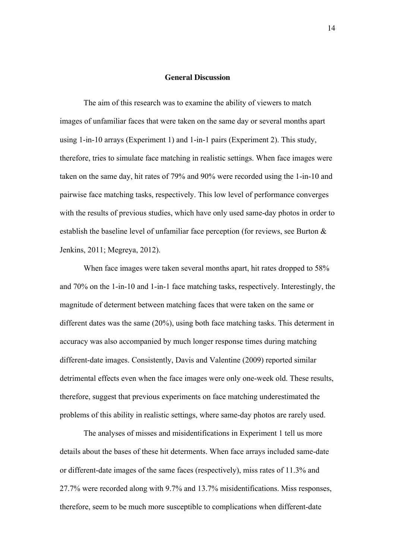### **General Discussion**

The aim of this research was to examine the ability of viewers to match images of unfamiliar faces that were taken on the same day or several months apart using 1-in-10 arrays (Experiment 1) and 1-in-1 pairs (Experiment 2). This study, therefore, tries to simulate face matching in realistic settings. When face images were taken on the same day, hit rates of 79% and 90% were recorded using the 1-in-10 and pairwise face matching tasks, respectively. This low level of performance converges with the results of previous studies, which have only used same-day photos in order to establish the baseline level of unfamiliar face perception (for reviews, see Burton & Jenkins, 2011; Megreya, 2012).

When face images were taken several months apart, hit rates dropped to 58% and 70% on the 1-in-10 and 1-in-1 face matching tasks, respectively. Interestingly, the magnitude of determent between matching faces that were taken on the same or different dates was the same (20%), using both face matching tasks. This determent in accuracy was also accompanied by much longer response times during matching different-date images. Consistently, Davis and Valentine (2009) reported similar detrimental effects even when the face images were only one-week old. These results, therefore, suggest that previous experiments on face matching underestimated the problems of this ability in realistic settings, where same-day photos are rarely used.

The analyses of misses and misidentifications in Experiment 1 tell us more details about the bases of these hit determents. When face arrays included same-date or different-date images of the same faces (respectively), miss rates of 11.3% and 27.7% were recorded along with 9.7% and 13.7% misidentifications. Miss responses, therefore, seem to be much more susceptible to complications when different-date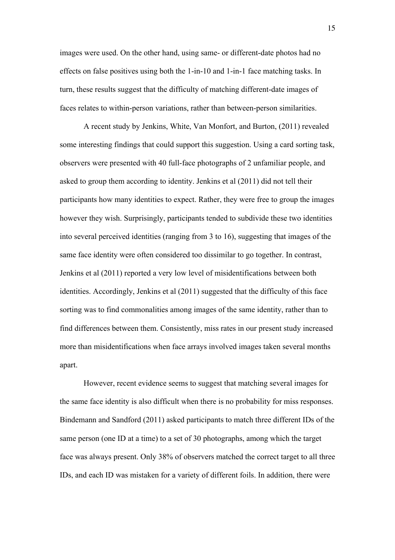images were used. On the other hand, using same- or different-date photos had no effects on false positives using both the 1-in-10 and 1-in-1 face matching tasks. In turn, these results suggest that the difficulty of matching different-date images of faces relates to within-person variations, rather than between-person similarities.

A recent study by Jenkins, White, Van Monfort, and Burton, (2011) revealed some interesting findings that could support this suggestion. Using a card sorting task, observers were presented with 40 full-face photographs of 2 unfamiliar people, and asked to group them according to identity. Jenkins et al (2011) did not tell their participants how many identities to expect. Rather, they were free to group the images however they wish. Surprisingly, participants tended to subdivide these two identities into several perceived identities (ranging from 3 to 16), suggesting that images of the same face identity were often considered too dissimilar to go together. In contrast, Jenkins et al (2011) reported a very low level of misidentifications between both identities. Accordingly, Jenkins et al (2011) suggested that the difficulty of this face sorting was to find commonalities among images of the same identity, rather than to find differences between them. Consistently, miss rates in our present study increased more than misidentifications when face arrays involved images taken several months apart.

However, recent evidence seems to suggest that matching several images for the same face identity is also difficult when there is no probability for miss responses. Bindemann and Sandford (2011) asked participants to match three different IDs of the same person (one ID at a time) to a set of 30 photographs, among which the target face was always present. Only 38% of observers matched the correct target to all three IDs, and each ID was mistaken for a variety of different foils. In addition, there were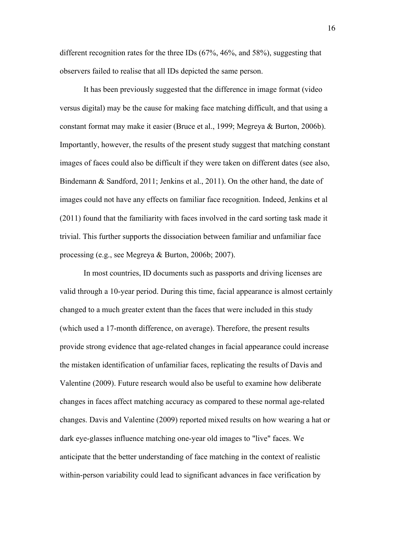different recognition rates for the three IDs (67%, 46%, and 58%), suggesting that observers failed to realise that all IDs depicted the same person.

It has been previously suggested that the difference in image format (video versus digital) may be the cause for making face matching difficult, and that using a constant format may make it easier (Bruce et al., 1999; Megreya & Burton, 2006b). Importantly, however, the results of the present study suggest that matching constant images of faces could also be difficult if they were taken on different dates (see also, Bindemann & Sandford, 2011; Jenkins et al., 2011). On the other hand, the date of images could not have any effects on familiar face recognition. Indeed, Jenkins et al (2011) found that the familiarity with faces involved in the card sorting task made it trivial. This further supports the dissociation between familiar and unfamiliar face processing (e.g., see Megreya & Burton, 2006b; 2007).

In most countries, ID documents such as passports and driving licenses are valid through a 10-year period. During this time, facial appearance is almost certainly changed to a much greater extent than the faces that were included in this study (which used a 17-month difference, on average). Therefore, the present results provide strong evidence that age-related changes in facial appearance could increase the mistaken identification of unfamiliar faces, replicating the results of Davis and Valentine (2009). Future research would also be useful to examine how deliberate changes in faces affect matching accuracy as compared to these normal age-related changes. Davis and Valentine (2009) reported mixed results on how wearing a hat or dark eye-glasses influence matching one-year old images to "live" faces. We anticipate that the better understanding of face matching in the context of realistic within-person variability could lead to significant advances in face verification by

16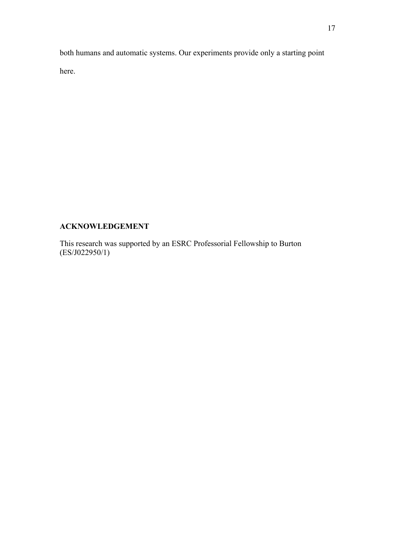both humans and automatic systems. Our experiments provide only a starting point here.

# **ACKNOWLEDGEMENT**

This research was supported by an ESRC Professorial Fellowship to Burton (ES/J022950/1)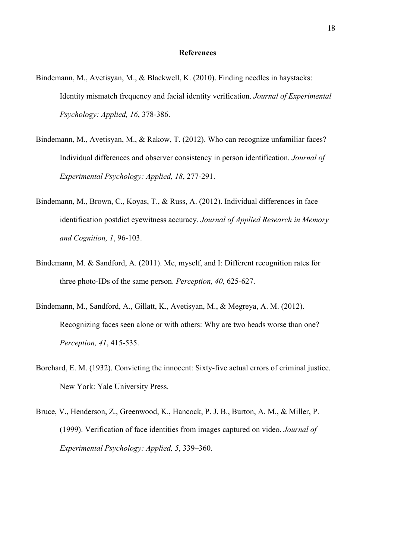- Bindemann, M., Avetisyan, M., & Blackwell, K. (2010). Finding needles in haystacks: Identity mismatch frequency and facial identity verification. *Journal of Experimental Psychology: Applied, 16*, 378-386.
- Bindemann, M., Avetisyan, M., & Rakow, T. (2012). Who can recognize unfamiliar faces? Individual differences and observer consistency in person identification. *Journal of Experimental Psychology: Applied, 18*, 277-291.
- Bindemann, M., Brown, C., Koyas, T., & Russ, A. (2012). Individual differences in face identification postdict eyewitness accuracy. *Journal of Applied Research in Memory and Cognition, 1*, 96-103.
- Bindemann, M. & Sandford, A. (2011). Me, myself, and I: Different recognition rates for three photo-IDs of the same person. *Perception, 40*, 625-627.
- Bindemann, M., Sandford, A., Gillatt, K., Avetisyan, M., & Megreya, A. M. (2012). Recognizing faces seen alone or with others: Why are two heads worse than one? *Perception, 41*, 415-535.
- Borchard, E. M. (1932). Convicting the innocent: Sixty-five actual errors of criminal justice. New York: Yale University Press.
- Bruce, V., Henderson, Z., Greenwood, K., Hancock, P. J. B., Burton, A. M., & Miller, P. (1999). Verification of face identities from images captured on video. *Journal of Experimental Psychology: Applied, 5*, 339–360.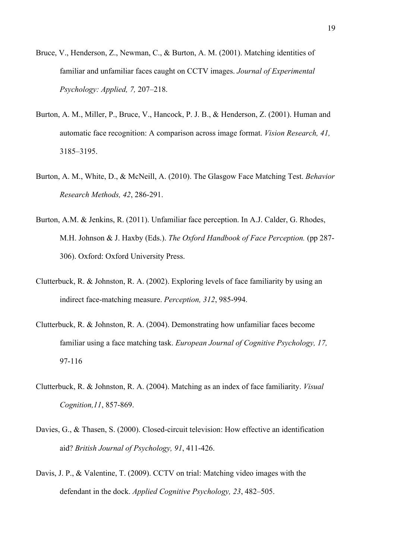- Bruce, V., Henderson, Z., Newman, C., & Burton, A. M. (2001). Matching identities of familiar and unfamiliar faces caught on CCTV images. *Journal of Experimental Psychology: Applied, 7,* 207–218.
- Burton, A. M., Miller, P., Bruce, V., Hancock, P. J. B., & Henderson, Z. (2001). Human and automatic face recognition: A comparison across image format. *Vision Research, 41,*  3185–3195.
- Burton, A. M., White, D., & McNeill, A. (2010). The Glasgow Face Matching Test. *Behavior Research Methods, 42*, 286-291.
- Burton, A.M. & Jenkins, R. (2011). Unfamiliar face perception. In A.J. Calder, G. Rhodes, M.H. Johnson & J. Haxby (Eds.). *The Oxford Handbook of Face Perception.* (pp 287- 306). Oxford: Oxford University Press.
- Clutterbuck, R. & Johnston, R. A. (2002). Exploring levels of face familiarity by using an indirect face-matching measure. *Perception, 312*, 985-994.
- Clutterbuck, R. & Johnston, R. A. (2004). Demonstrating how unfamiliar faces become familiar using a face matching task. *European Journal of Cognitive Psychology, 17,* 97-116
- Clutterbuck, R. & Johnston, R. A. (2004). Matching as an index of face familiarity. *Visual Cognition,11*, 857-869.
- Davies, G., & Thasen, S. (2000). Closed-circuit television: How effective an identification aid? *British Journal of Psychology, 91*, 411-426.
- Davis, J. P., & Valentine, T. (2009). CCTV on trial: Matching video images with the defendant in the dock. *Applied Cognitive Psychology, 23*, 482–505.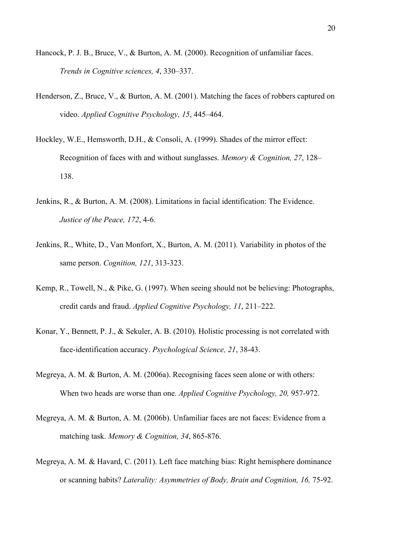- Hancock, P. J. B., Bruce, V., & Burton, A. M. (2000). Recognition of unfamiliar faces. *Trends in Cognitive sciences, 4*, 330–337.
- Henderson, Z., Bruce, V., & Burton, A. M. (2001). Matching the faces of robbers captured on video. *Applied Cognitive Psychology, 15*, 445–464.
- Hockley, W.E., Hemsworth, D.H., & Consoli, A. (1999). Shades of the mirror effect: Recognition of faces with and without sunglasses. *Memory & Cognition, 27*, 128– 138.
- Jenkins, R., & Burton, A. M. (2008). Limitations in facial identification: The Evidence. *Justice of the Peace, 172*, 4-6.
- Jenkins, R., White, D., Van Monfort, X., Burton, A. M. (2011). Variability in photos of the same person. *Cognition, 121*, 313-323.
- Kemp, R., Towell, N., & Pike, G. (1997). When seeing should not be believing: Photographs, credit cards and fraud. *Applied Cognitive Psychology, 11*, 211–222.
- Konar, Y., Bennett, P. J., & Sekuler, A. B. (2010). Holistic processing is not correlated with face-identification accuracy. *Psychological Science, 21*, 38-43.
- Megreya, A. M. & Burton, A. M. (2006a). Recognising faces seen alone or with others: When two heads are worse than one. *Applied Cognitive Psychology, 20,* 957-972.
- Megreya, A. M. & Burton, A. M. (2006b). Unfamiliar faces are not faces: Evidence from a matching task. *Memory & Cognition, 34*, 865-876.
- Megreya, A. M. & Havard, C. (2011). Left face matching bias: Right hemisphere dominance or scanning habits? *Laterality: Asymmetries of Body, Brain and Cognition, 16,* 75-92.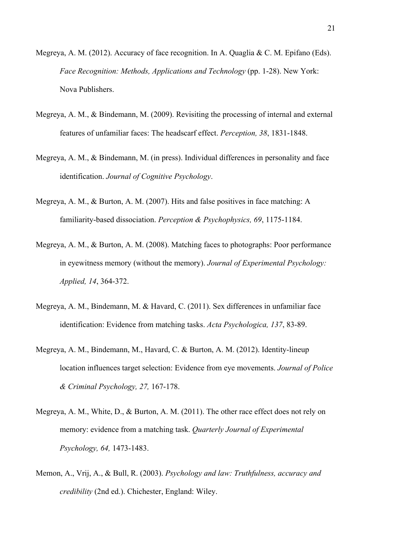- Megreya, A. M. (2012). Accuracy of face recognition. In A. Quaglia & C. M. Epifano (Eds). *Face Recognition: Methods, Applications and Technology* (pp. 1-28). New York: Nova Publishers.
- Megreya, A. M., & Bindemann, M. (2009). Revisiting the processing of internal and external features of unfamiliar faces: The headscarf effect. *Perception, 38*, 1831-1848.
- Megreya, A. M., & Bindemann, M. (in press). Individual differences in personality and face identification. *Journal of Cognitive Psychology*.
- Megreya, A. M., & Burton, A. M. (2007). Hits and false positives in face matching: A familiarity-based dissociation. *Perception & Psychophysics, 69*, 1175-1184.
- Megreya, A. M., & Burton, A. M. (2008). Matching faces to photographs: Poor performance in eyewitness memory (without the memory). *Journal of Experimental Psychology: Applied, 14*, 364-372.
- Megreya, A. M., Bindemann, M. & Havard, C. (2011). Sex differences in unfamiliar face identification: Evidence from matching tasks. *Acta Psychologica, 137*, 83-89.
- Megreya, A. M., Bindemann, M., Havard, C. & Burton, A. M. (2012). Identity-lineup location influences target selection: Evidence from eye movements. *Journal of Police & Criminal Psychology, 27,* 167-178.
- Megreya, A. M., White, D., & Burton, A. M. (2011). The other race effect does not rely on memory: evidence from a matching task. *Quarterly Journal of Experimental Psychology, 64,* 1473-1483.
- Memon, A., Vrij, A., & Bull, R. (2003). *Psychology and law: Truthfulness, accuracy and credibility* (2nd ed.). Chichester, England: Wiley.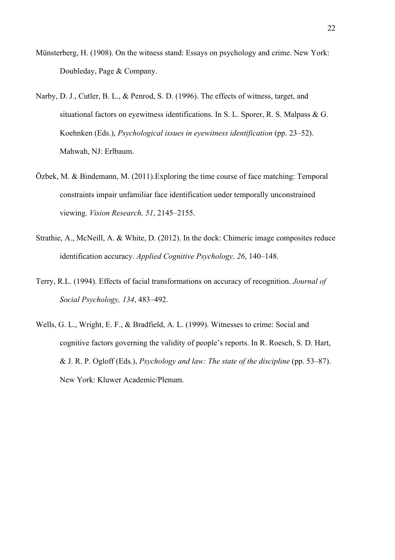- Münsterberg, H. (1908). On the witness stand: Essays on psychology and crime. New York: Doubleday, Page & Company.
- Narby, D. J., Cutler, B. L., & Penrod, S. D. (1996). The effects of witness, target, and situational factors on eyewitness identifications. In S. L. Sporer, R. S. Malpass & G. Koehnken (Eds.), *Psychological issues in eyewitness identification* (pp. 23–52). Mahwah, NJ: Erlbaum.
- Özbek, M. & Bindemann, M. (2011).Exploring the time course of face matching: Temporal constraints impair unfamiliar face identification under temporally unconstrained viewing. *Vision Research, 51*, 2145–2155.
- Strathie, A., McNeill, A. & White, D. (2012). In the dock: Chimeric image composites reduce identification accuracy. *Applied Cognitive Psychology, 26*, 140–148.
- Terry, R.L. (1994). Effects of facial transformations on accuracy of recognition. *Journal of Social Psychology, 134*, 483–492.
- Wells, G. L., Wright, E. F., & Bradfield, A. L. (1999). Witnesses to crime: Social and cognitive factors governing the validity of people's reports. In R. Roesch, S. D. Hart, & J. R. P. Ogloff (Eds*.*), *Psychology and law: The state of the discipline* (pp. 53–87). New York: Kluwer Academic/Plenum.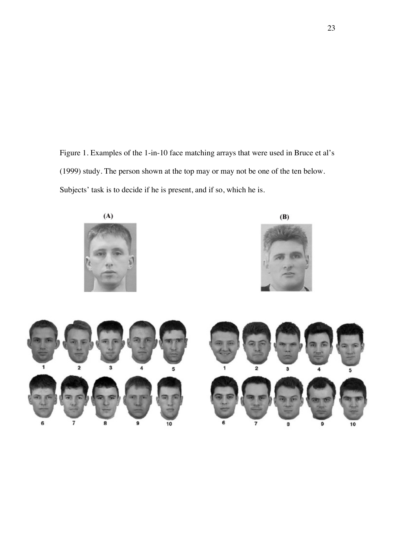Figure 1. Examples of the 1-in-10 face matching arrays that were used in Bruce et al's (1999) study. The person shown at the top may or may not be one of the ten below. Subjects' task is to decide if he is present, and if so, which he is.

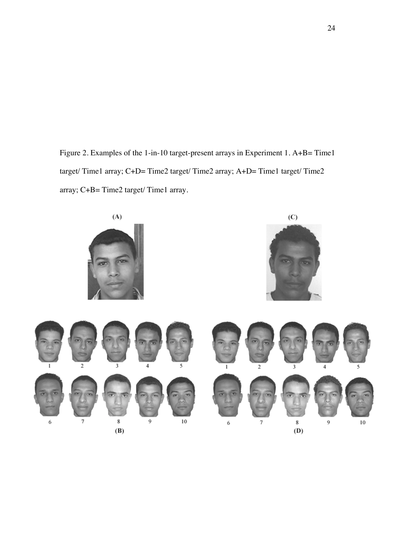Figure 2. Examples of the 1-in-10 target-present arrays in Experiment 1. A+B= Time1 target/ Time1 array; C+D= Time2 target/ Time2 array; A+D= Time1 target/ Time2 array; C+B= Time2 target/ Time1 array.

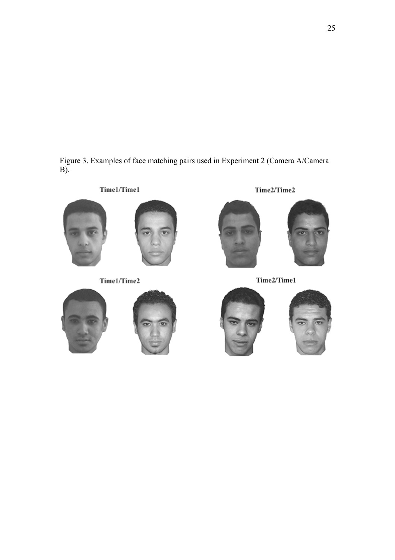Figure 3. Examples of face matching pairs used in Experiment 2 (Camera A/Camera B).



Time1/Time1



Time1/Time2





Time2/Time2



Time2/Time1



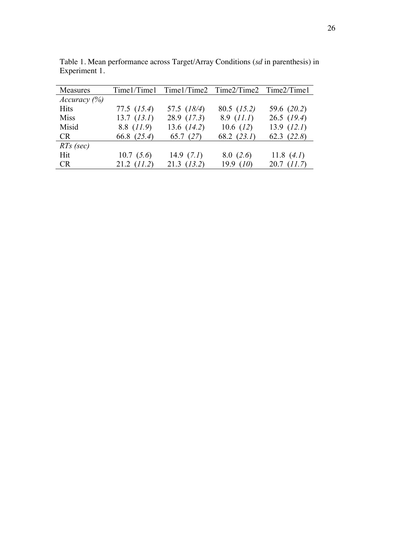| Measures     |                 | Time1/Time1 Time1/Time2 Time2/Time2 Time2/Time1 |               |                 |
|--------------|-----------------|-------------------------------------------------|---------------|-----------------|
| Accuracy (%) |                 |                                                 |               |                 |
| <b>Hits</b>  | $77.5$ $(15.4)$ | 57.5 (18/4)                                     | $80.5$ (15.2) | 59.6 (20.2)     |
| <b>Miss</b>  | $13.7$ $(13.1)$ | $28.9$ (17.3)                                   | $8.9$ (11.1)  | $26.5$ (19.4)   |
| Misid        | 8.8 $(11.9)$    | 13.6 $(14.2)$                                   | 10.6 $(12)$   | $13.9$ $(12.1)$ |
| <b>CR</b>    | 66.8 (25.4)     | 65.7 $(27)$                                     | 68.2 $(23.1)$ | 62.3 $(22.8)$   |
| $RTs$ (sec)  |                 |                                                 |               |                 |
| Hit          | 10.7(5.6)       | 14.9 $(7.1)$                                    | 8.0(2.6)      | 11.8 $(4.1)$    |
| <b>CR</b>    | $21.2$ (11.2)   | $21.3$ $(13.2)$                                 | 19.9 $(10)$   | $20.7$ $(11.7)$ |

Table 1. Mean performance across Target/Array Conditions (*sd* in parenthesis) in Experiment 1.